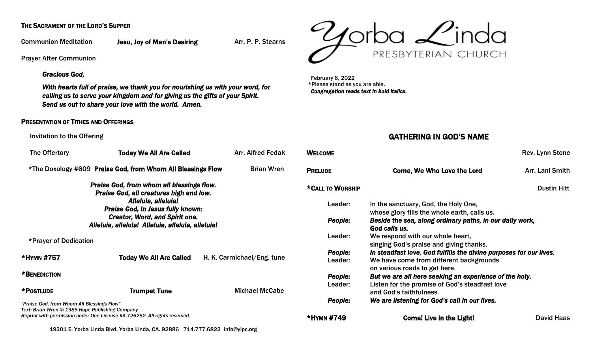### THE SACRAMENT OF THE LORD'S SUPPER

Communion Meditation Jesu, Joy of Man's Desiring Arr. P. P. Stearns

Prayer After Communion

#### *Gracious God,*

*With hearts full of praise, we thank you for nourishing us with your word, for calling us to serve your kingdom and for giving us the gifts of your Spirit. Send us out to share your love with the world. Amen.* 

#### PRESENTATION OF TITHES AND OFFERINGS

#### Invitation to the Offering

| The Offertory                                                                                                                                                                                                                                         | <b>Today We All Are Called</b> | <b>Arr. Alfred Fedak</b>   |  |  |
|-------------------------------------------------------------------------------------------------------------------------------------------------------------------------------------------------------------------------------------------------------|--------------------------------|----------------------------|--|--|
| <b>Brian Wren</b><br>*The Doxology #609 Praise God, from Whom All Blessings Flow                                                                                                                                                                      |                                |                            |  |  |
| Praise God, from whom all blessings flow.<br>Praise God, all creatures high and low.<br>Alleluia, alleluia!<br><b>Praise God, in Jesus fully known:</b><br><b>Creator, Word, and Spirit one.</b><br>Alleluia, alleluia! Alleluia, alleluia, alleluia! |                                |                            |  |  |
| *Prayer of Dedication                                                                                                                                                                                                                                 |                                |                            |  |  |
| *HYMN #757                                                                                                                                                                                                                                            | <b>Today We All Are Called</b> | H. K. Carmichael/Eng. tune |  |  |
| *BENEDICTION                                                                                                                                                                                                                                          |                                |                            |  |  |
| *POSTLUDE                                                                                                                                                                                                                                             | <b>Trumpet Tune</b>            | <b>Michael McCabe</b>      |  |  |
| "Praise God, from Whom All Blessings Flow"<br>Text: Brian Wren © 1989 Hope Publishing Company<br>Reprint with permission under One License #A-726252, All rights reserved.                                                                            |                                |                            |  |  |



 February 6, 2022 \*Please stand as you are able. *Congregation reads text in bold italics.* 

### GATHERING IN GOD'S NAME

| <b>WELCOME</b>   |                                                                                      | Rev. Lynn Stone    |  |
|------------------|--------------------------------------------------------------------------------------|--------------------|--|
| <b>PRELUDE</b>   | <b>Come, We Who Love the Lord</b>                                                    | Arr. Lani Smith    |  |
| *CALL TO WORSHIP |                                                                                      | <b>Dustin Hitt</b> |  |
| Leader:          | In the sanctuary, God, the Holy One,<br>whose glory fills the whole earth, calls us. |                    |  |
| People:          | Beside the sea, along ordinary paths, in our daily work,<br>God calls us.            |                    |  |
| Leader:          | We respond with our whole heart,<br>singing God's praise and giving thanks.          |                    |  |
| People:          | In steadfast love, God fulfills the divine purposes for our lives.                   |                    |  |
| Leader:          | We have come from different backgrounds<br>on various roads to get here.             |                    |  |
| People:          | But we are all here seeking an experience of the holy.                               |                    |  |
| Leader:          | Listen for the promise of God's steadfast love<br>and God's faithfulness.            |                    |  |
| <b>People:</b>   | We are listening for God's call in our lives.                                        |                    |  |
| *HYMN #749       | <b>Come! Live in the Light!</b>                                                      | David Haas         |  |

19301 E. Yorba Linda Blvd. Yorba Linda, CA. 92886 714.777.6822 [info@ylpc.org](mailto:info@ylpc.org)